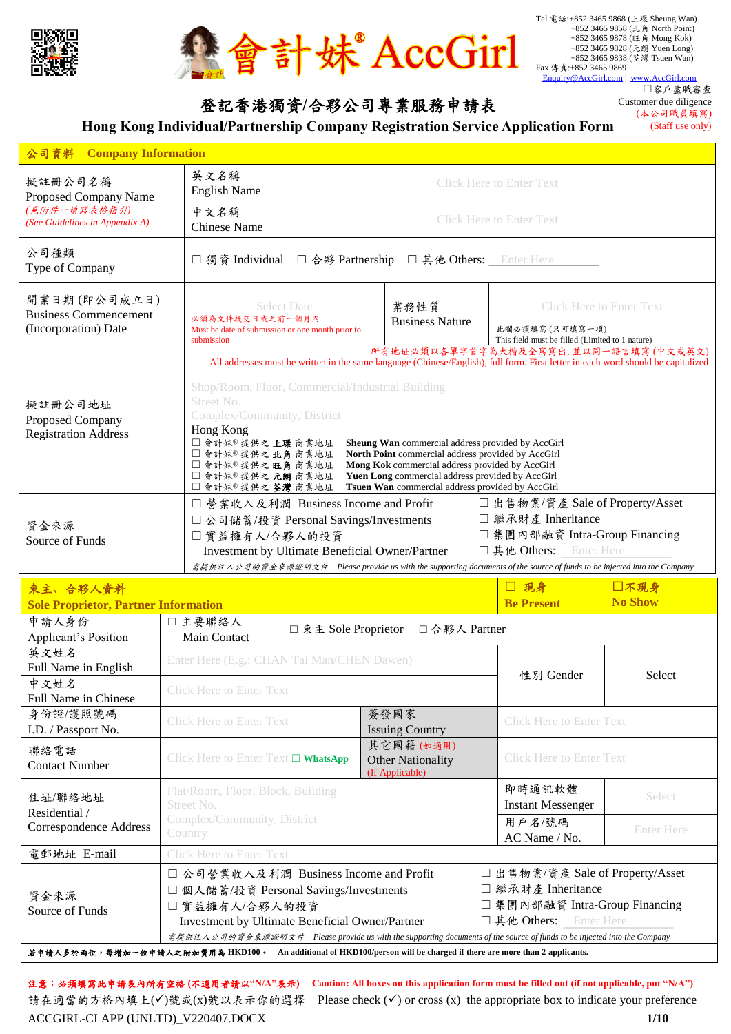



## 登記香港獨資**/**合夥公司專業服務申請表

☐客戶盡職審查 Customer due diligence (本公司職員填寫)

(Staff use only)

**Hong Kong Individual/Partnership Company Registration Service Application Form**

| 公司資料<br><b>Company Information</b>                                   |                                                                                                                                                      |                                                                                                                                   |                                                                                                                                                                                                                                                                    |                                                                                                                                                                                                                                               |  |  |
|----------------------------------------------------------------------|------------------------------------------------------------------------------------------------------------------------------------------------------|-----------------------------------------------------------------------------------------------------------------------------------|--------------------------------------------------------------------------------------------------------------------------------------------------------------------------------------------------------------------------------------------------------------------|-----------------------------------------------------------------------------------------------------------------------------------------------------------------------------------------------------------------------------------------------|--|--|
| 擬註冊公司名稱<br>Proposed Company Name                                     | 英文名稱<br><b>English Name</b>                                                                                                                          | <b>Click Here to Enter Text</b>                                                                                                   |                                                                                                                                                                                                                                                                    |                                                                                                                                                                                                                                               |  |  |
| (見附件一填寫表格指引)<br>(See Guidelines in Appendix A)                       | 中文名稱<br><b>Chinese Name</b>                                                                                                                          | <b>Click Here to Enter Text</b>                                                                                                   |                                                                                                                                                                                                                                                                    |                                                                                                                                                                                                                                               |  |  |
| 公司種類<br>Type of Company                                              | □獨資 Individual □ 合夥 Partnership □ 其他 Others: Enter Here                                                                                              |                                                                                                                                   |                                                                                                                                                                                                                                                                    |                                                                                                                                                                                                                                               |  |  |
| 開業日期(即公司成立日)<br><b>Business Commencement</b><br>(Incorporation) Date | 必須為文件提交日或之前一個月內<br>Must be date of submission or one month prior to<br>submission                                                                    | <b>Select Date</b>                                                                                                                | 業務性質<br><b>Business Nature</b>                                                                                                                                                                                                                                     | <b>Click Here to Enter Text</b><br>此欄必須填寫(只可填寫一項)<br>This field must be filled (Limited to 1 nature)                                                                                                                                          |  |  |
| 擬註冊公司地址<br>Proposed Company<br><b>Registration Address</b>           | Street No.<br>Complex/Community, District<br>Hong Kong<br>□ 會計妹® 提供之上環商業地址<br>□會計妹®提供之北角商業地址<br>□會計妹®提供之旺角商業地址<br>□會計妹®提供之元朗商業地址<br>□會計妹®提供之 荃灣 商業地址 | Shop/Room, Floor, Commercial/Industrial Building                                                                                  | Sheung Wan commercial address provided by AccGirl<br>North Point commercial address provided by AccGirl<br>Mong Kok commercial address provided by AccGirl<br>Yuen Long commercial address provided by AccGirl<br>Tsuen Wan commercial address provided by AccGirl | 所有地址必須以各單字首字為大楷及全寫寫出,並以同一語言填寫(中文或英文)<br>All addresses must be written in the same language (Chinese/English), full form. First letter in each word should be capitalized                                                                      |  |  |
| 資金來源<br>Source of Funds                                              | □實益擁有人/合夥人的投資                                                                                                                                        | □ 營業收入及利潤 Business Income and Profit<br>□ 公司儲蓄/投資 Personal Savings/Investments<br>Investment by Ultimate Beneficial Owner/Partner |                                                                                                                                                                                                                                                                    | □出售物業/資產 Sale of Property/Asset<br>□ 繼承財產 Inheritance<br>□ 集團內部融資 Intra-Group Financing<br>□ 其他 Others: Enter Here<br>需提供注入公司的資金來源證明文件 Please provide us with the supporting documents of the source of funds to be injected into the Company |  |  |

| 東主、合夥人資料                                                                                                            |                                                      |                                             |                                       | □ 現身                                                                                                                    | □不現身                            |  |
|---------------------------------------------------------------------------------------------------------------------|------------------------------------------------------|---------------------------------------------|---------------------------------------|-------------------------------------------------------------------------------------------------------------------------|---------------------------------|--|
| <b>Sole Proprietor, Partner Information</b>                                                                         |                                                      |                                             |                                       | <b>Be Present</b>                                                                                                       | <b>No Show</b>                  |  |
| 申請人身份                                                                                                               | □主要聯絡人                                               |                                             |                                       |                                                                                                                         |                                 |  |
| Applicant's Position                                                                                                | Main Contact                                         |                                             | □東主 Sole Proprietor □合夥人 Partner      |                                                                                                                         |                                 |  |
| 英文姓名                                                                                                                | Enter Here (E.g.: CHAN Tai Man/CHEN Dawen)           |                                             |                                       |                                                                                                                         |                                 |  |
| Full Name in English                                                                                                |                                                      |                                             |                                       | 性別 Gender                                                                                                               | Select                          |  |
| 中文姓名                                                                                                                | <b>Click Here to Enter Text</b>                      |                                             |                                       |                                                                                                                         |                                 |  |
| Full Name in Chinese                                                                                                |                                                      |                                             |                                       |                                                                                                                         |                                 |  |
| 身份證/護照號碼                                                                                                            | <b>Click Here to Enter Text</b>                      | 簽發國家                                        |                                       | <b>Click Here to Enter Text</b>                                                                                         |                                 |  |
| I.D. / Passport No.                                                                                                 |                                                      | <b>Issuing Country</b>                      |                                       |                                                                                                                         |                                 |  |
| 聯絡電話                                                                                                                |                                                      |                                             | 其它國籍(如適用)<br><b>Other Nationality</b> |                                                                                                                         |                                 |  |
| <b>Contact Number</b>                                                                                               |                                                      | Click Here to Enter Text $\square$ WhatsApp |                                       | <b>Click Here to Enter Text</b>                                                                                         |                                 |  |
|                                                                                                                     |                                                      |                                             | (If Applicable)                       |                                                                                                                         |                                 |  |
| 住址/聯絡地址                                                                                                             | Flat/Room, Floor, Block, Building                    |                                             |                                       | 即時通訊軟體                                                                                                                  | Select                          |  |
| Residential /                                                                                                       | Street No.<br>Complex/Community, District<br>Country |                                             |                                       | <b>Instant Messenger</b>                                                                                                |                                 |  |
| Correspondence Address                                                                                              |                                                      |                                             |                                       | 用戶名/號碼                                                                                                                  | <b>Enter Here</b>               |  |
|                                                                                                                     |                                                      |                                             |                                       | $AC$ Name / No.                                                                                                         |                                 |  |
| 電郵地址 E-mail                                                                                                         | <b>Click Here to Enter Text</b>                      |                                             |                                       |                                                                                                                         |                                 |  |
|                                                                                                                     |                                                      | □ 公司營業收入及利潤 Business Income and Profit      |                                       |                                                                                                                         | □出售物業/資產 Sale of Property/Asset |  |
| 資金來源                                                                                                                | □ 個人儲蓄/投資 Personal Savings/Investments               |                                             |                                       | □ 繼承財產 Inheritance                                                                                                      |                                 |  |
| Source of Funds                                                                                                     | □實益擁有人/合夥人的投資                                        |                                             |                                       | □ 集團內部融資 Intra-Group Financing                                                                                          |                                 |  |
|                                                                                                                     | Investment by Ultimate Beneficial Owner/Partner      |                                             |                                       | 口其他 Others: Enter Here                                                                                                  |                                 |  |
|                                                                                                                     |                                                      |                                             |                                       | 需提供注入公司的資金來源證明文件 Please provide us with the supporting documents of the source of funds to be injected into the Company |                                 |  |
| 若申請人多於兩位,每增加一位申請人之附加費用為 HKD100。 An additional of HKD100/person will be charged if there are more than 2 applicants. |                                                      |                                             |                                       |                                                                                                                         |                                 |  |

ACCGIRL-CI APP (UNLTD)\_V220407.DOCX **1/10** 注意:必須填寫此申請表內所有空格 **(**不適用者請以**"N/A"**表示**) Caution: All boxes on this application form must be filled out (if not applicable, put "N/A")** 請在適當的方格內填上(√)號或(x)號以表示你的選擇 Please check (√) or cross (x) the appropriate box to indicate your preference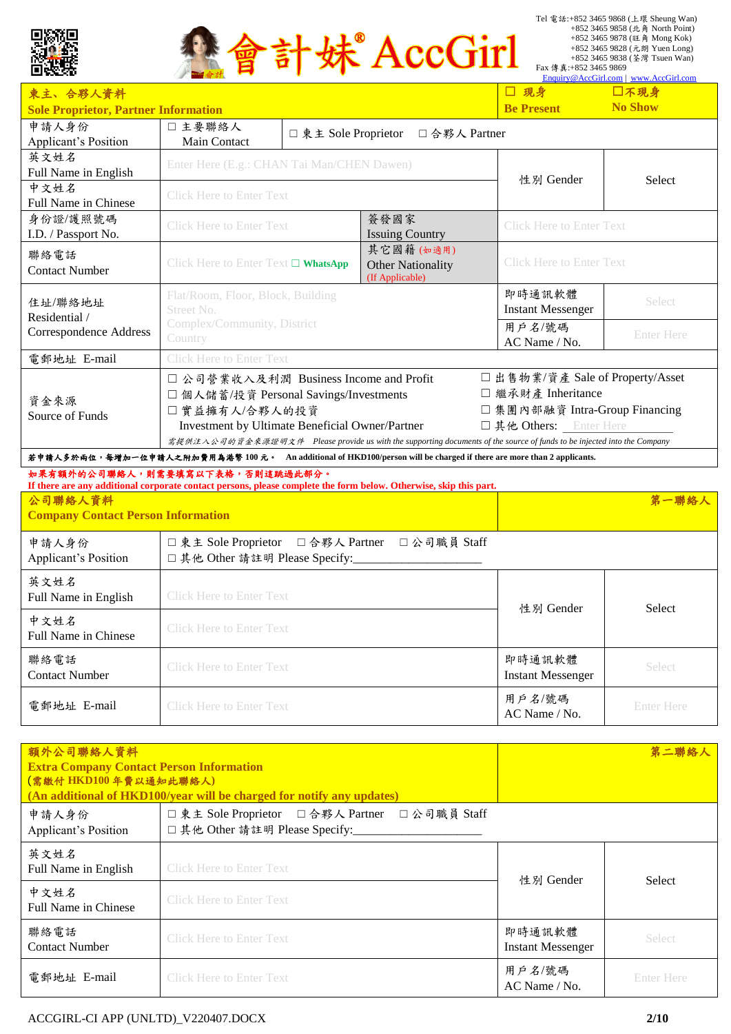



|                                                                                                                     |                                                                                                                         |                                      |                                 |                                | Enquiry@AccGirl.com   www.AccGirl.com |  |  |
|---------------------------------------------------------------------------------------------------------------------|-------------------------------------------------------------------------------------------------------------------------|--------------------------------------|---------------------------------|--------------------------------|---------------------------------------|--|--|
| 東主、合夥人資料                                                                                                            |                                                                                                                         |                                      |                                 | □ 現身                           | □不現身                                  |  |  |
| <b>Sole Proprietor, Partner Information</b>                                                                         |                                                                                                                         | <b>Be Present</b>                    | <b>No Show</b>                  |                                |                                       |  |  |
| 申請人身份                                                                                                               | □主要聯絡人                                                                                                                  | □ 東主 Sole Proprietor<br>□合夥人 Partner |                                 |                                |                                       |  |  |
| Applicant's Position                                                                                                | <b>Main Contact</b>                                                                                                     |                                      |                                 |                                |                                       |  |  |
| 英文姓名                                                                                                                | Enter Here (E.g.: CHAN Tai Man/CHEN Dawen)                                                                              |                                      |                                 |                                |                                       |  |  |
| Full Name in English                                                                                                |                                                                                                                         |                                      |                                 | 性別 Gender                      | <b>Select</b>                         |  |  |
| 中文姓名                                                                                                                | <b>Click Here to Enter Text</b>                                                                                         |                                      |                                 |                                |                                       |  |  |
| Full Name in Chinese                                                                                                |                                                                                                                         |                                      |                                 |                                |                                       |  |  |
| 身份證/護照號碼                                                                                                            | 簽發國家<br><b>Click Here to Enter Text</b>                                                                                 |                                      | <b>Click Here to Enter Text</b> |                                |                                       |  |  |
| I.D. / Passport No.                                                                                                 |                                                                                                                         |                                      | <b>Issuing Country</b>          |                                |                                       |  |  |
| 聯絡電話                                                                                                                |                                                                                                                         |                                      | 其它國籍(如適用)                       |                                |                                       |  |  |
| <b>Contact Number</b>                                                                                               | Click Here to Enter Text □ WhatsApp<br><b>Other Nationality</b>                                                         |                                      |                                 |                                | <b>Click Here to Enter Text</b>       |  |  |
|                                                                                                                     |                                                                                                                         |                                      | (If Applicable)                 |                                |                                       |  |  |
| 住址/聯絡地址                                                                                                             | Flat/Room, Floor, Block, Building<br>Street No.<br>Complex/Community, District<br>Country                               |                                      |                                 | 即時通訊軟體                         | Select                                |  |  |
| Residential /                                                                                                       |                                                                                                                         |                                      |                                 | <b>Instant Messenger</b>       |                                       |  |  |
| Correspondence Address                                                                                              |                                                                                                                         |                                      |                                 | 用戶名/號碼                         | <b>Enter Here</b>                     |  |  |
|                                                                                                                     |                                                                                                                         |                                      |                                 | $AC$ Name / No.                |                                       |  |  |
| 電郵地址 E-mail                                                                                                         | <b>Click Here to Enter Text</b>                                                                                         |                                      |                                 |                                |                                       |  |  |
|                                                                                                                     | □ 公司營業收入及利潤 Business Income and Profit                                                                                  |                                      |                                 |                                | □出售物業/資產 Sale of Property/Asset       |  |  |
|                                                                                                                     | □ 個人儲蓄/投資 Personal Savings/Investments                                                                                  |                                      |                                 | □ 繼承財產 Inheritance             |                                       |  |  |
| 資金來源<br>Source of Funds                                                                                             | □實益擁有人/合夥人的投資                                                                                                           |                                      |                                 | □ 集團內部融資 Intra-Group Financing |                                       |  |  |
|                                                                                                                     | Investment by Ultimate Beneficial Owner/Partner                                                                         |                                      |                                 | 口其他 Others: Enter Here         |                                       |  |  |
|                                                                                                                     | 需提供注入公司的資金來源證明文件 Please provide us with the supporting documents of the source of funds to be injected into the Company |                                      |                                 |                                |                                       |  |  |
| 若申請人多於兩位,每增加一位申請人之附加費用為港幣 100元。 An additional of HKD100/person will be charged if there are more than 2 applicants. |                                                                                                                         |                                      |                                 |                                |                                       |  |  |

#### 如果有額外的公司聯絡人,則需要填寫以下表格,否則這跳過此部分。

| If there are any additional corporate contact persons, please complete the form below. Otherwise, skip this part.<br>公司聯絡人資料<br><b>Company Contact Person Information</b> |                                                                                | 第一聯絡人                              |                   |
|---------------------------------------------------------------------------------------------------------------------------------------------------------------------------|--------------------------------------------------------------------------------|------------------------------------|-------------------|
| 申請人身份<br><b>Applicant's Position</b>                                                                                                                                      | □東主 Sole Proprietor □合夥人 Partner □公司職員 Staff<br>□ 其他 Other 請註明 Please Specify: |                                    |                   |
| 英文姓名<br>Full Name in English                                                                                                                                              | <b>Click Here to Enter Text</b>                                                | 性別 Gender                          | <b>Select</b>     |
| 中文姓名<br>Full Name in Chinese                                                                                                                                              | <b>Click Here to Enter Text</b>                                                |                                    |                   |
| 聯絡電話<br><b>Contact Number</b>                                                                                                                                             | <b>Click Here to Enter Text</b>                                                | 即時通訊軟體<br><b>Instant Messenger</b> | <b>Select</b>     |
| 電郵地址 E-mail                                                                                                                                                               | <b>Click Here to Enter Text</b>                                                | 用戶名/號碼<br>$AC$ Name / No.          | <b>Enter Here</b> |

| 額外公司聯絡人資料<br><b>Extra Company Contact Person Information</b><br>(需繳付 HKD100年費以通知此聯絡人)<br>(An additional of HKD100/year will be charged for notify any updates) |                                                                                | 第二聯絡人                              |                   |
|----------------------------------------------------------------------------------------------------------------------------------------------------------------|--------------------------------------------------------------------------------|------------------------------------|-------------------|
| 申請人身份<br><b>Applicant's Position</b>                                                                                                                           | □東主 Sole Proprietor □合夥人 Partner □公司職員 Staff<br>□ 其他 Other 請註明 Please Specify: |                                    |                   |
| 英文姓名<br>Full Name in English                                                                                                                                   | <b>Click Here to Enter Text</b>                                                | 性別 Gender                          | <b>Select</b>     |
| 中文姓名<br><b>Full Name in Chinese</b>                                                                                                                            | <b>Click Here to Enter Text</b>                                                |                                    |                   |
| 聯絡電話<br><b>Contact Number</b>                                                                                                                                  | <b>Click Here to Enter Text</b>                                                | 即時通訊軟體<br><b>Instant Messenger</b> | Select            |
| 電郵地址 E-mail                                                                                                                                                    | <b>Click Here to Enter Text</b>                                                | 用户名/號碼<br>$AC$ Name / No.          | <b>Enter Here</b> |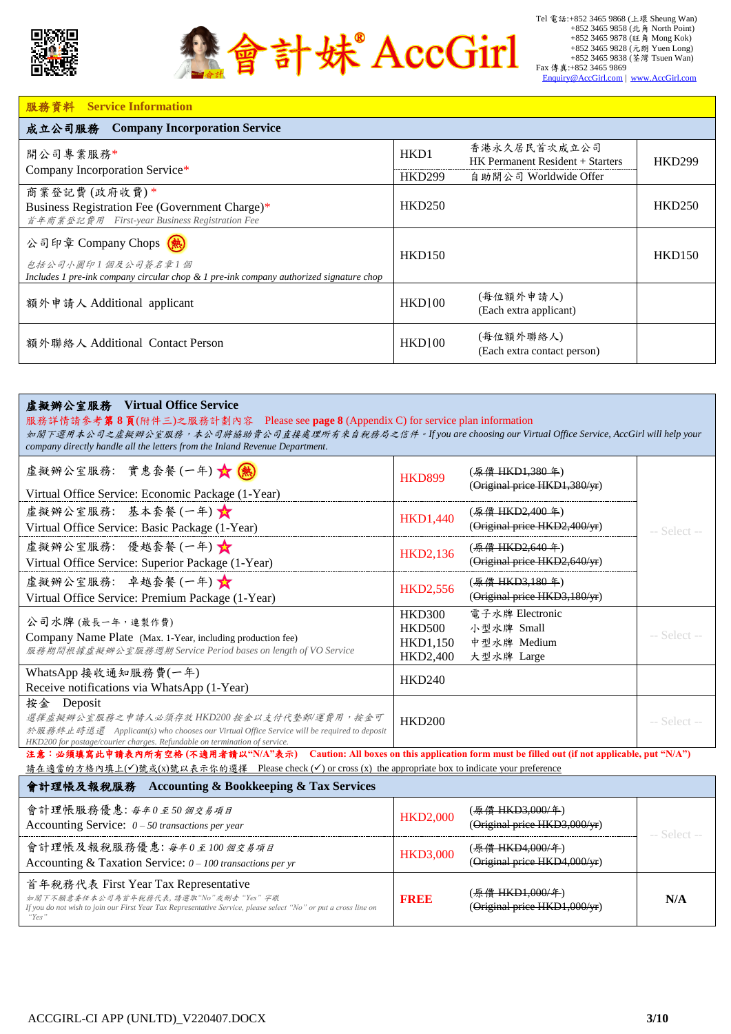



#### 服務資料 **Service Information**

| <b>Company Incorporation Service</b><br>成立公司服務                                                                                           |                   |                                                  |               |  |
|------------------------------------------------------------------------------------------------------------------------------------------|-------------------|--------------------------------------------------|---------------|--|
| 開公司專業服務*<br>Company Incorporation Service*                                                                                               | HK <sub>D</sub> 1 | 香港永久居民首次成立公司<br>HK Permanent Resident + Starters | <b>HKD299</b> |  |
|                                                                                                                                          | <b>HKD299</b>     | 自助開公司 Worldwide Offer                            |               |  |
| 商業登記費(政府收費)*<br>Business Registration Fee (Government Charge)*<br>首年商業登記費用 First-year Business Registration Fee                          | <b>HKD250</b>     |                                                  | <b>HKD250</b> |  |
| 公司印章 Company Chops (熱)<br>包括公司小圆印1個及公司簽名章1個<br>Includes 1 pre-ink company circular chop $\&$ 1 pre-ink company authorized signature chop | <b>HKD150</b>     |                                                  | <b>HKD150</b> |  |
| 額外申請人 Additional applicant                                                                                                               | <b>HKD100</b>     | (每位額外申請人)<br>(Each extra applicant)              |               |  |
| 額外聯絡人 Additional Contact Person                                                                                                          | <b>HKD100</b>     | (每位額外聯絡人)<br>(Each extra contact person)         |               |  |

#### 虛擬辦公室服務 **Virtual Office Service**

服務詳情請參考第 **8** 頁(附件三)之服務計劃內容 Please see **page 8** (Appendix C) for service plan information 如閣下選用本公司之虛擬辦公室服務,本公司將協助貴公司直接處理所有來自稅務局之信件。*If you are choosing our Virtual Office Service, AccGirl will help your company directly handle all the letters from the Inland Revenue Department.*

| 虚擬辦公室服務: 實惠套餐(一年) ☆ (熱)<br>Virtual Office Service: Economic Package (1-Year)                                                                                                                                                              | <b>HKD899</b>                                                 | ( <del>原價 HKD1,380 年</del> )<br>(Original price HKD1,380/yr) |                |  |  |  |  |
|-------------------------------------------------------------------------------------------------------------------------------------------------------------------------------------------------------------------------------------------|---------------------------------------------------------------|--------------------------------------------------------------|----------------|--|--|--|--|
| 虚擬辦公室服務: 基本套餐(一年)<br>Virtual Office Service: Basic Package (1-Year)                                                                                                                                                                       | <b>HKD1,440</b>                                               | (原價 HKD2,400年)<br>(Original price HKD2,400/yr)               | -- Select --   |  |  |  |  |
| 虚擬辦公室服務: 優越套餐(一年)<br>Virtual Office Service: Superior Package (1-Year)                                                                                                                                                                    | <b>HKD2,136</b>                                               | ( <del>原價 HKD2,640 年</del> )<br>(Original price HKD2,640/yr) |                |  |  |  |  |
| 虚擬辦公室服務: 卓越套餐(一年)<br>Virtual Office Service: Premium Package (1-Year)                                                                                                                                                                     | <b>HKD2,556</b>                                               | ( <del>原價 HKD3,180 年</del> )<br>(Original price HKD3,180/yr) |                |  |  |  |  |
| 公司水牌 (最長一年,連製作費)<br>Company Name Plate (Max. 1-Year, including production fee)<br>服務期間根據虛擬辦公室服務週期 Service Period bases on length of VO Service                                                                                            | <b>HKD300</b><br><b>HKD500</b><br><b>HKD1,150</b><br>HKD2,400 | 電子水牌 Electronic<br>小型水牌 Small<br>中型水牌 Medium<br>大型水牌 Large   | $-$ Select $-$ |  |  |  |  |
| WhatsApp 接收通知服務費(一年)<br>Receive notifications via WhatsApp (1-Year)                                                                                                                                                                       | <b>HKD240</b>                                                 |                                                              |                |  |  |  |  |
| 按金 Deposit<br>選擇虛擬辦公室服務之申請人必須存放 HKD200 按金以支付代墊郵/運費用,按金可<br>於服務終止時退還 Applicant(s) who chooses our Virtual Office Service will be required to deposit<br>HKD200 for postage/courier charges. Refundable on termination of service.          | <b>HKD200</b>                                                 |                                                              | -- Select --   |  |  |  |  |
| 注意:必須填寫此申請表內所有空格(不適用者請以"N/A"表示) Caution: All boxes on this application form must be filled out (if not applicable, put "N/A")<br>請在適當的方格內填上(√)號或(x)號以表示你的選擇 Please check (√) or cross (x) the appropriate box to indicate your preference |                                                               |                                                              |                |  |  |  |  |
| 會計理帳及報稅服務 Accounting & Bookkeeping & Tax Services                                                                                                                                                                                         |                                                               |                                                              |                |  |  |  |  |
| 會計理帳服務優惠:每年0至50個交易項目<br>Accounting Service: $0 - 50$ transactions per year                                                                                                                                                                | <b>HKD2,000</b>                                               | ( <del>原價 HKD3,000/年</del> )<br>(Original price HKD3,000/yr) | -- Select --   |  |  |  |  |
| 會計理帳及報稅服務優惠: 每年0至100個交易項目<br>Accounting & Taxation Service: $0 - 100$ transactions per yr                                                                                                                                                 | <b>HKD3,000</b>                                               | ( <del>原價 HKD4,000/年</del> )<br>(Original price HKD4,000/yr) |                |  |  |  |  |

首年稅務代表 First Year Tax Representative 如閣下不願意委任本公司為首年稅務代表*,* 請選取*"No"*或刪去 *"Yes"* 字眼 *If you do not wish to join our First Year Tax Representative Service, please select "No" or put a cross line on "Yes"* **FREE** (原價 HKD1,000/年) (Original price HKD1,000/yr) **N/A**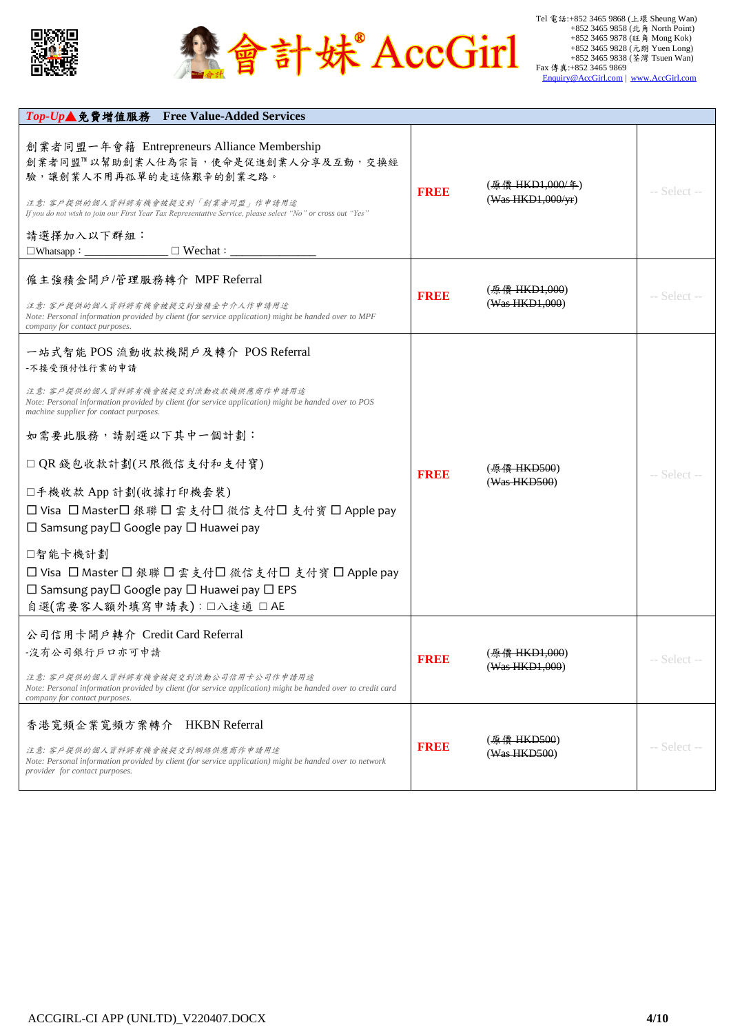



| Top-Up▲免費增值服務 Free Value-Added Services                                                                                                                                                                                                                                                                                             |             |                                                   |              |
|-------------------------------------------------------------------------------------------------------------------------------------------------------------------------------------------------------------------------------------------------------------------------------------------------------------------------------------|-------------|---------------------------------------------------|--------------|
| 創業者同盟一年會籍 Entrepreneurs Alliance Membership<br>創業者同盟™以幫助創業人仕為宗旨,使命是促進創業人分享及互動,交換經<br>驗,讓創業人不用再孤單的走這條艱辛的創業之路。<br>注意: 客戶提供的個人資料將有機會被提交到「創業者同盟」作申請用途<br>If you do not wish to join our First Year Tax Representative Service, please select "No" or cross out "Yes"<br>請選擇加入以下群組:<br>$\Box$ Wechat : $\Box$<br>$\Box$ Whatsapp: $\Box$ | <b>FREE</b> | ( <del>原償 HKD1,000/年</del> )<br>(Was HKD1,000/yr) | -- Select -- |
|                                                                                                                                                                                                                                                                                                                                     |             |                                                   |              |
| 僱主強積金開戶/管理服務轉介 MPF Referral                                                                                                                                                                                                                                                                                                         |             | ( <del>原價 HKD1,000</del> )                        |              |
| 注意: 客戶提供的個人資料將有機會被提交到強積金中介人作申請用途<br>Note: Personal information provided by client (for service application) might be handed over to MPF<br>company for contact purposes.                                                                                                                                                            | <b>FREE</b> | (Was HKD1,000)                                    | -- Select -- |
| 一站式智能 POS 流動收款機開戶及轉介 POS Referral                                                                                                                                                                                                                                                                                                   |             |                                                   |              |
| -不接受預付性行業的申請                                                                                                                                                                                                                                                                                                                        |             |                                                   |              |
| 注意: 客戶提供的個人資料將有機會被提交到流動收款機供應商作申請用途<br>Note: Personal information provided by client (for service application) might be handed over to POS<br>machine supplier for contact purposes.                                                                                                                                                 |             |                                                   |              |
| 如需要此服務,請剔選以下其中一個計劃:                                                                                                                                                                                                                                                                                                                 |             |                                                   |              |
| □ QR 錢包收款計劃(只限微信支付和支付寶)                                                                                                                                                                                                                                                                                                             | <b>FREE</b> | ( <del>原價 HKD500</del> )                          | -- Select -- |
| □手機收款 App 計劃(收據打印機套裝)                                                                                                                                                                                                                                                                                                               |             | (Was HKD500)                                      |              |
| □ Visa □ Master□ 銀聯 □ 雲支付□ 微信支付□ 支付寶 □ Apple pay                                                                                                                                                                                                                                                                                    |             |                                                   |              |
| $\Box$ Samsung pay $\Box$ Google pay $\Box$ Huawei pay                                                                                                                                                                                                                                                                              |             |                                                   |              |
| □智能卡機計劃                                                                                                                                                                                                                                                                                                                             |             |                                                   |              |
| □ Visa □ Master □ 銀聯 □ 雲支付□ 微信支付□ 支付寶 □ Apple pay                                                                                                                                                                                                                                                                                   |             |                                                   |              |
| $\Box$ Samsung pay $\Box$ Google pay $\Box$ Huawei pay $\Box$ EPS                                                                                                                                                                                                                                                                   |             |                                                   |              |
| 自選(需要客人額外填寫申請表):□八達通 □ AE                                                                                                                                                                                                                                                                                                           |             |                                                   |              |
| 公司信用卡開戶轉介 Credit Card Referral                                                                                                                                                                                                                                                                                                      |             |                                                   |              |
| -沒有公司銀行戶口亦可申請                                                                                                                                                                                                                                                                                                                       | FREE        | ( <del>原僧 HKD1.000</del> )                        | -- Select -- |
| 注意: 客戶提供的個人資料將有機會被提交到流動公司信用卡公司作申請用途<br>Note: Personal information provided by client (for service application) might be handed over to credit card<br>company for contact purposes.                                                                                                                                                 |             | (Was HKD1,000)                                    |              |
| 香港寬頻企業寬頻方案轉介 HKBN Referral                                                                                                                                                                                                                                                                                                          |             |                                                   |              |
|                                                                                                                                                                                                                                                                                                                                     | <b>FREE</b> | ( <del>原價 HKD500</del> )                          | -- Select -- |
| 注意: 客戶提供的個人資料將有機會被提交到網絡供應商作申請用途<br>Note: Personal information provided by client (for service application) might be handed over to network<br>provider for contact purposes.                                                                                                                                                        |             | (Was HKD500)                                      |              |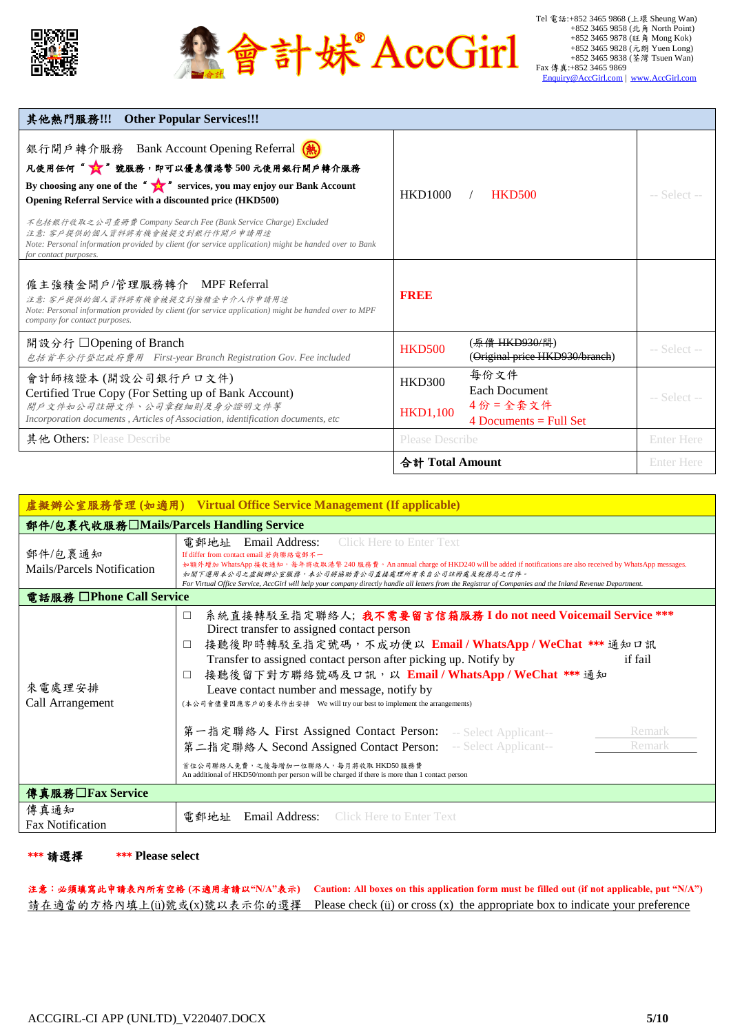



| 其他熱門服務!!! Other Popular Services!!!                                                                                                                                                                                                                                                                                                                                                                                                                           |                                  |                                                              |                   |
|---------------------------------------------------------------------------------------------------------------------------------------------------------------------------------------------------------------------------------------------------------------------------------------------------------------------------------------------------------------------------------------------------------------------------------------------------------------|----------------------------------|--------------------------------------------------------------|-------------------|
| 銀行開戶轉介服務 Bank Account Opening Referral (熱)<br>凡使用任何" ☆ 蹴服務,即可以優惠價港幣500元使用銀行開戶轉介服務<br>By choosing any one of the " services, you may enjoy our Bank Account<br>Opening Referral Service with a discounted price (HKD500)<br>不包括銀行收取之公司查册費 Company Search Fee (Bank Service Charge) Excluded<br>注意: 客戶提供的個人資料將有機會被提交到銀行作開戶申請用途<br>Note: Personal information provided by client (for service application) might be handed over to Bank<br>for contact purposes. | <b>HKD1000</b>                   | <b>HKD500</b>                                                | -- Select --      |
| 僱主強積金開戶/管理服務轉介 MPF Referral<br>注意: 客戶提供的個人資料將有機會被提交到強積金中介人作申請用途<br>Note: Personal information provided by client (for service application) might be handed over to MPF<br>company for contact purposes.                                                                                                                                                                                                                                                       | <b>BRBB</b>                      |                                                              |                   |
| 開設分行 □ Opening of Branch<br>包括首年分行登記政府費用 First-year Branch Registration Gov. Fee included                                                                                                                                                                                                                                                                                                                                                                     | <b>HKD500</b>                    | ( <i>魚僧 HKD930/間</i> )<br>(Original price HKD930/branch)     | -- Select --      |
| 會計師核證本(開設公司銀行戶口文件)<br>Certified True Copy (For Setting up of Bank Account)<br>開戶文件如公司註冊文件、公司章程細則及身分證明文件等<br>Incorporation documents, Articles of Association, identification documents, etc.                                                                                                                                                                                                                                                                  | <b>HKD300</b><br><b>HKD1,100</b> | 每份文件<br>Each Document<br>4份=全套文件<br>4 Documents $=$ Full Set | -- Select --      |
| 其他 Others: Please Describe                                                                                                                                                                                                                                                                                                                                                                                                                                    | <b>Please Describe</b>           |                                                              | <b>Enter Here</b> |
|                                                                                                                                                                                                                                                                                                                                                                                                                                                               | 合計 Total Amount                  |                                                              | <b>Enter Here</b> |

| 盧擬辦公室服務管理(如適用) Virtual Office Service Management (If applicable) |                                                                                                                                                                                                                                                                                                                                                                                                                                                                                                                                                                                                                                                                                                                                                      |  |  |  |  |  |
|------------------------------------------------------------------|------------------------------------------------------------------------------------------------------------------------------------------------------------------------------------------------------------------------------------------------------------------------------------------------------------------------------------------------------------------------------------------------------------------------------------------------------------------------------------------------------------------------------------------------------------------------------------------------------------------------------------------------------------------------------------------------------------------------------------------------------|--|--|--|--|--|
| 郵件/包裹代收服務□Mails/Parcels Handling Service                         |                                                                                                                                                                                                                                                                                                                                                                                                                                                                                                                                                                                                                                                                                                                                                      |  |  |  |  |  |
| 郵件/包裹通知<br>Mails/Parcels Notification                            | <b>Click Here to Enter Text</b><br>電郵地址<br>Email Address:<br>If differ from contact email 若與聯絡電郵不一<br>如額外增加 WhatsApp 接收通知,每年將收取港幣 240 服務費。An annual charge of HKD240 will be added if notifications are also received by WhatsApp messages.<br>如閣下選用本公司之虛擬辦公室服務,本公司將協助貴公司直接處理所有來自公司註冊處及稅務局之信件。<br>For Virtual Office Service, AccGirl will help your company directly handle all letters from the Registrar of Companies and the Inland Revenue Department.                                                                                                                                                                                                                                                                                          |  |  |  |  |  |
| 電話服務 □ Phone Call Service                                        |                                                                                                                                                                                                                                                                                                                                                                                                                                                                                                                                                                                                                                                                                                                                                      |  |  |  |  |  |
| 來電處理安排<br>Call Arrangement                                       | 系統直接轉駁至指定聯絡人;我不需要留言信箱服務 I do not need Voicemail Service ***<br>$\Box$<br>Direct transfer to assigned contact person<br>接聽後即時轉駁至指定號碼,不成功便以 Email/WhatsApp/WeChat *** 通知口訊<br>$\Box$<br>Transfer to assigned contact person after picking up. Notify by<br>if fail<br>接聽後留下對方聯絡號碼及口訊,以 Email / WhatsApp / WeChat *** 通知<br>$\Box$<br>Leave contact number and message, notify by<br>(本公司會儘量因應客戶的要求作出安排 We will try our best to implement the arrangements)<br>第一指定聯絡人 First Assigned Contact Person: -- Select Applicant--<br>Remark<br>Remark<br>第二指定聯絡人 Second Assigned Contact Person: - Select Applicant--<br>首位公司聯絡人免費,之後每增加一位聯絡人,每月將收取HKD50服務費<br>An additional of HKD50/month per person will be charged if there is more than 1 contact person |  |  |  |  |  |
| 傳真服務□Fax Service                                                 |                                                                                                                                                                                                                                                                                                                                                                                                                                                                                                                                                                                                                                                                                                                                                      |  |  |  |  |  |
| 傳真通知<br><b>Fax Notification</b>                                  | <b>Click Here to Enter Text</b><br>電郵地址<br>Email Address:                                                                                                                                                                                                                                                                                                                                                                                                                                                                                                                                                                                                                                                                                            |  |  |  |  |  |

\*\*\* 請選擇 \*\*\* **Please select**

注意:必須填寫此申請表內所有空格 **(**不適用者請以**"N/A"**表示**) Caution: All boxes on this application form must be filled out (if not applicable, put "N/A")** 請在適當的方格內填上(ü)號或(x)號以表示你的選擇 Please check (ü) or cross (x) the appropriate box to indicate your preference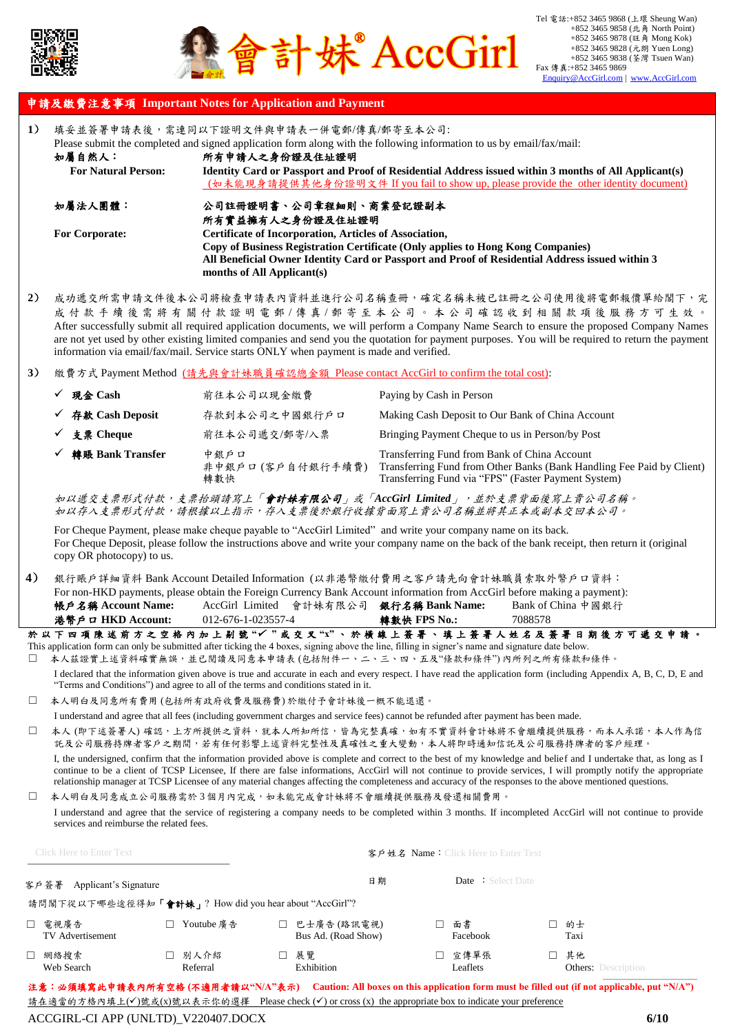



### 申請及繳費注意事項 **Important Notes for Application and Payment**

| 1)     | 如屬自然人:<br><b>For Natural Person:</b>                  |                    | 填妥並簽署申請表後,需連同以下證明文件與申請表一併電郵/傳真/郵寄至本公司:<br>Please submit the completed and signed application form along with the following information to us by email/fax/mail:<br>所有申請人之身份證及住址證明<br>Identity Card or Passport and Proof of Residential Address issued within 3 months of All Applicant(s)<br>(如未能現身請提供其他身份證明文件 If you fail to show up, please provide the other identity document) |                                                                                                                                                   |                                                                                                                                                                                                                                                                                                                                                                                                                                                                                                   |  |  |  |
|--------|-------------------------------------------------------|--------------------|-------------------------------------------------------------------------------------------------------------------------------------------------------------------------------------------------------------------------------------------------------------------------------------------------------------------------------------------------------------------------------------|---------------------------------------------------------------------------------------------------------------------------------------------------|---------------------------------------------------------------------------------------------------------------------------------------------------------------------------------------------------------------------------------------------------------------------------------------------------------------------------------------------------------------------------------------------------------------------------------------------------------------------------------------------------|--|--|--|
|        | 如屬法人團體:                                               |                    | 公司註冊證明書、公司章程細則、商業登記證副本                                                                                                                                                                                                                                                                                                                                                              |                                                                                                                                                   |                                                                                                                                                                                                                                                                                                                                                                                                                                                                                                   |  |  |  |
|        | <b>For Corporate:</b>                                 |                    | 所有實益擁有人之身份證及住址證明<br>Certificate of Incorporation, Articles of Association,<br>months of All Applicant(s)                                                                                                                                                                                                                                                                            | Copy of Business Registration Certificate (Only applies to Hong Kong Companies)                                                                   | All Beneficial Owner Identity Card or Passport and Proof of Residential Address issued within 3                                                                                                                                                                                                                                                                                                                                                                                                   |  |  |  |
| 2)     |                                                       |                    | information via email/fax/mail. Service starts ONLY when payment is made and verified.                                                                                                                                                                                                                                                                                              |                                                                                                                                                   | 成功遞交所需申請文件後本公司將檢查申請表內資料並進行公司名稱查冊,確定名稱未被已註冊之公司使用後將電郵報價單給閣下,完<br>成付款手續後需將有關付款證明電郵/傳真/郵寄至本公司。本公司確認收到相關款項後服務方可生效。<br>After successfully submit all required application documents, we will perform a Company Name Search to ensure the proposed Company Names<br>are not yet used by other existing limited companies and send you the quotation for payment purposes. You will be required to return the payment                                                                                     |  |  |  |
| 3)     |                                                       |                    |                                                                                                                                                                                                                                                                                                                                                                                     | 繳費方式 Payment Method (請先與會計妹職員確認總金額 Please contact AccGirl to confirm the total cost):                                                             |                                                                                                                                                                                                                                                                                                                                                                                                                                                                                                   |  |  |  |
|        | ✓ 現金 Cash                                             |                    | 前往本公司以現金繳費                                                                                                                                                                                                                                                                                                                                                                          | Paying by Cash in Person                                                                                                                          |                                                                                                                                                                                                                                                                                                                                                                                                                                                                                                   |  |  |  |
|        | ✔ 存款 Cash Deposit                                     |                    | 存款到本公司之中國銀行戶口                                                                                                                                                                                                                                                                                                                                                                       |                                                                                                                                                   | Making Cash Deposit to Our Bank of China Account                                                                                                                                                                                                                                                                                                                                                                                                                                                  |  |  |  |
|        | ✔ 支票 Cheque                                           |                    | 前往本公司遞交/郵寄/入票                                                                                                                                                                                                                                                                                                                                                                       |                                                                                                                                                   | Bringing Payment Cheque to us in Person/by Post                                                                                                                                                                                                                                                                                                                                                                                                                                                   |  |  |  |
|        | 轉賬 Bank Transfer                                      | 中銀戶口<br>轉數快        | 非中銀戶口 (客戶自付銀行手續費)                                                                                                                                                                                                                                                                                                                                                                   | Transferring Fund from Bank of China Account                                                                                                      | Transferring Fund from Other Banks (Bank Handling Fee Paid by Client)<br>Transferring Fund via "FPS" (Faster Payment System)                                                                                                                                                                                                                                                                                                                                                                      |  |  |  |
|        |                                                       |                    |                                                                                                                                                                                                                                                                                                                                                                                     |                                                                                                                                                   | 如以遞交支票形式付款,支票抬頭請寫上「 <b>會計妹有限公司</b> 」或「AccGirl Limited」,並於支票背面後寫上貴公司名稱。<br>如以存入支票形式付款,請根據以上指示,存入支票後於銀行收據背面寫上貴公司名稱並將其正本或副本交回本公司。                                                                                                                                                                                                                                                                                                                                                                    |  |  |  |
|        | copy OR photocopy) to us.                             |                    |                                                                                                                                                                                                                                                                                                                                                                                     | For Cheque Payment, please make cheque payable to "AccGirl Limited" and write your company name on its back.                                      | For Cheque Deposit, please follow the instructions above and write your company name on the back of the bank receipt, then return it (original                                                                                                                                                                                                                                                                                                                                                    |  |  |  |
| 4)     | 帳戶名稱 Account Name:<br>港幣戶ロ HKD Account:               | 012-676-1-023557-4 | AccGirl Limited 會計妹有限公司 銀行名稱 Bank Name:                                                                                                                                                                                                                                                                                                                                             | 轉數快 FPS No.:                                                                                                                                      | 銀行賬戶詳細資料 Bank Account Detailed Information (以非港幣繳付費用之客戶請先向會計妹職員索取外幣戶口資料:<br>For non-HKD payments, please obtain the Foreign Currency Bank Account information from AccGirl before making a payment):<br>Bank of China 中國銀行<br>7088578                                                                                                                                                                                                                                                             |  |  |  |
|        |                                                       |                    |                                                                                                                                                                                                                                                                                                                                                                                     | This application form can only be submitted after ticking the 4 boxes, signing above the line, filling in signer's name and signature date below. | 於以下四項陳述前方之空格內加上剔號"√"或交叉"x"、於橫線上簽署、填上簽署人姓名及簽署日期後方可遞交申請。<br>本人茲證實上述資料確實無誤,並已閱讀及同意本申請表(包括附件一、二、三、四、五及"條款和條件")內所列之所有條款和條件。                                                                                                                                                                                                                                                                                                                                                                            |  |  |  |
|        |                                                       |                    | "Terms and Conditions") and agree to all of the terms and conditions stated in it.                                                                                                                                                                                                                                                                                                  |                                                                                                                                                   | I declared that the information given above is true and accurate in each and every respect. I have read the application form (including Appendix A, B, C, D, E and                                                                                                                                                                                                                                                                                                                                |  |  |  |
| □      |                                                       |                    | 本人明白及同意所有費用(包括所有政府收費及服務費)於繳付予會計妹後一概不能退還。                                                                                                                                                                                                                                                                                                                                            | I understand and agree that all fees (including government charges and service fees) cannot be refunded after payment has been made.              |                                                                                                                                                                                                                                                                                                                                                                                                                                                                                                   |  |  |  |
| $\Box$ |                                                       |                    |                                                                                                                                                                                                                                                                                                                                                                                     |                                                                                                                                                   | 本人 (即下述簽署人) 確認,上方所提供之資料,就本人所知所信,皆為完整真確,如有不實資料會計妹將不會繼續提供服務,而本人承諾,本人作為信<br>託及公司服務持牌者客戶之期間,若有任何影響上述資料完整性及真確性之重大變動,本人將即時通知信託及公司服務持牌者的客戶經理。                                                                                                                                                                                                                                                                                                                                                            |  |  |  |
|        |                                                       |                    |                                                                                                                                                                                                                                                                                                                                                                                     |                                                                                                                                                   | I, the undersigned, confirm that the information provided above is complete and correct to the best of my knowledge and belief and I undertake that, as long as I<br>continue to be a client of TCSP Licensee, If there are false informations, AccGirl will not continue to provide services, I will promptly notify the appropriate<br>relationship manager at TCSP Licensee of any material changes affecting the completeness and accuracy of the responses to the above mentioned questions. |  |  |  |
| $\Box$ | services and reimburse the related fees.              |                    |                                                                                                                                                                                                                                                                                                                                                                                     | 本人明白及同意成立公司服務需於3個月內完成,如未能完成會計妹將不會繼續提供服務及發還相關費用。                                                                                                   | I understand and agree that the service of registering a company needs to be completed within 3 months. If incompleted AccGirl will not continue to provide                                                                                                                                                                                                                                                                                                                                       |  |  |  |
|        | <b>Click Here to Enter Text</b>                       |                    |                                                                                                                                                                                                                                                                                                                                                                                     | 客戶姓名 Name: Click Here to Enter Text                                                                                                               |                                                                                                                                                                                                                                                                                                                                                                                                                                                                                                   |  |  |  |
|        | 客戶簽署 Applicant's Signature                            |                    |                                                                                                                                                                                                                                                                                                                                                                                     | 日期                                                                                                                                                | <b>Date</b> : Select Date                                                                                                                                                                                                                                                                                                                                                                                                                                                                         |  |  |  |
|        | 請問閣下從以下哪些途徑得知「會計妹」? How did you hear about "AccGirl"? |                    |                                                                                                                                                                                                                                                                                                                                                                                     |                                                                                                                                                   |                                                                                                                                                                                                                                                                                                                                                                                                                                                                                                   |  |  |  |
|        | □ 電視廣告<br>TV Advertisement                            | □ Youtube 廣告       | □ 巴士廣告 (路訊電視)<br>Bus Ad. (Road Show)                                                                                                                                                                                                                                                                                                                                                | □ 面書<br>Facebook                                                                                                                                  | □ 的士<br>Taxi                                                                                                                                                                                                                                                                                                                                                                                                                                                                                      |  |  |  |
|        | □ 網絡搜索<br>Web Search                                  | □ 別人介紹<br>Referral | □ 展覽<br>Exhibition                                                                                                                                                                                                                                                                                                                                                                  | □ 宣傳單張<br>Leaflets                                                                                                                                | □ 其他<br><b>Others:</b> Description                                                                                                                                                                                                                                                                                                                                                                                                                                                                |  |  |  |
|        |                                                       |                    |                                                                                                                                                                                                                                                                                                                                                                                     | <u>請在適當的方格內填上(√)號或(x)號以表示你的選擇 Please check (√) or cross (x) the appropriate box to indicate your preference</u>                                   | 注意:必須填寫此申請表內所有空格 (不適用者請以"N/A"表示) Caution: All boxes on this application form must be filled out (if not applicable, put "N/A")                                                                                                                                                                                                                                                                                                                                                                    |  |  |  |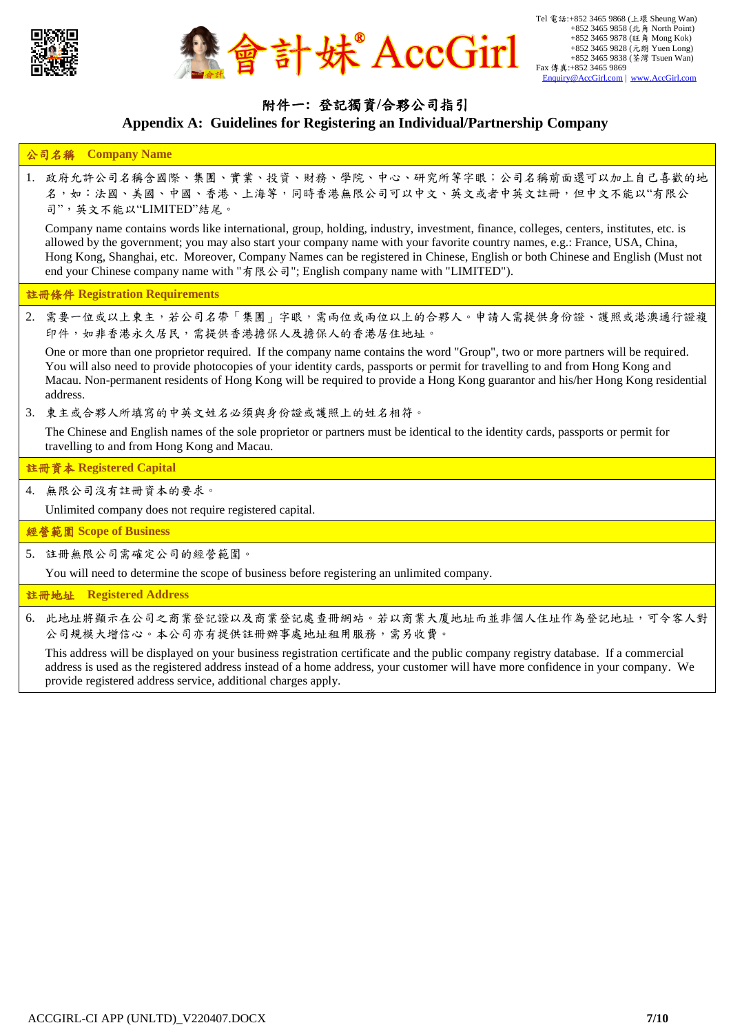



### 附件一**:** 登記獨資**/**合夥公司指引 **Appendix A: Guidelines for Registering an Individual/Partnership Company**

#### 公司名稱 **Company Name**

1. 政府允許公司名稱含國際、集團、實業、投資、財務、學院、中心、研究所等字眼;公司名稱前面還可以加上自己喜歡的地 名,如:法國、美國、中國、香港、上海等,同時香港無限公司可以中文、英文或者中英文註冊,但中文不能以"有限公 司",英文不能以"LIMITED"結尾。

Company name contains words like international, group, holding, industry, investment, finance, colleges, centers, institutes, etc. is allowed by the government; you may also start your company name with your favorite country names, e.g.: France, USA, China, Hong Kong, Shanghai, etc. Moreover, Company Names can be registered in Chinese, English or both Chinese and English (Must not end your Chinese company name with "有限公司"; English company name with "LIMITED").

#### 註冊條件 **Registration Requirements**

2. 需要一位或以上東主,若公司名帶「集團」字眼,需兩位或兩位以上的合夥人。申請人需提供身份證、護照或港澳通行證複 印件,如非香港永久居民,需提供香港擔保人及擔保人的香港居住地址。

One or more than one proprietor required. If the company name contains the word "Group", two or more partners will be required. You will also need to provide photocopies of your identity cards, passports or permit for travelling to and from Hong Kong and Macau. Non-permanent residents of Hong Kong will be required to provide a Hong Kong guarantor and his/her Hong Kong residential address.

3. 東主或合夥人所填寫的中英文姓名必須與身份證或護照上的姓名相符。

The Chinese and English names of the sole proprietor or partners must be identical to the identity cards, passports or permit for travelling to and from Hong Kong and Macau.

#### 註冊資本 **Registered Capital**

4. 無限公司沒有註冊資本的要求。

Unlimited company does not require registered capital.

經營範圍 **Scope of Business**

5. 註冊無限公司需確定公司的經營範圍。

You will need to determine the scope of business before registering an unlimited company.

#### 註冊地址 **Registered Address**

6. 此地址將顯示在公司之商業登記沒商業登記處查冊網站。若以商業大廈地址而並非個人住址作為登記地址,可令客人對 公司規模大增信心。本公司亦有提供註冊辦事處地址租用服務,需另收費。

This address will be displayed on your business registration certificate and the public company registry database. If a commercial address is used as the registered address instead of a home address, your customer will have more confidence in your company. We provide registered address service, additional charges apply.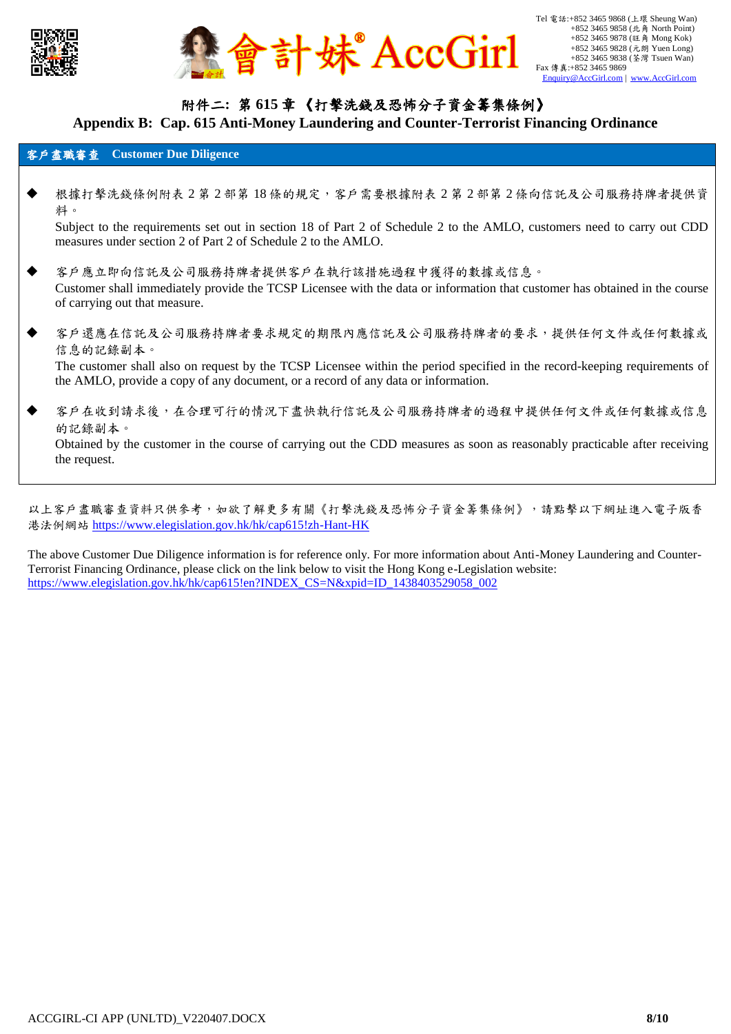



## 附件二**:** 第 **615** 章 《打擊洗錢及恐怖分子資金籌集條例》

#### **Appendix B: Cap. 615 Anti-Money Laundering and Counter-Terrorist Financing Ordinance**

#### 客戶盡職審查 **Customer Due Diligence**

- 根據打擊洗錢條例附表 2 第 2 部第 18 條的規定,客戶需要根據附表 2 第 2 部第 2 條向信託及公司服務持牌者提供資 料。 Subject to the requirements set out in section 18 of Part 2 of Schedule 2 to the AMLO, customers need to carry out CDD measures under section 2 of Part 2 of Schedule 2 to the AMLO.
- 客戶應立即向信託及公司服務持牌者提供客戶在執行該措施過程中獲得的數據或信息。 Customer shall immediately provide the TCSP Licensee with the data or information that customer has obtained in the course of carrying out that measure.
- 客戶還應在信託及公司服務持牌者要求規定的期限內應信託及公司服務持牌者的要求,提供任何文件或任何數據或 信息的記錄副本。 The customer shall also on request by the TCSP Licensee within the period specified in the record-keeping requirements of the AMLO, provide a copy of any document, or a record of any data or information.
- 客戶在收到請求後,在合理可行的情況下盡快執行信託及公司服務持牌者的過程中提供任何文件或任何數據或信息 的記錄副本。

Obtained by the customer in the course of carrying out the CDD measures as soon as reasonably practicable after receiving the request.

以上客戶盡職審查資料只供參考,如欲了解更多有關《打擊洗錢及恐怖分子資金籌集條例》,請點擊以下網址進入電子版香 港法例網站 https://www.elegislation.gov.hk/hk/cap615!zh-Hant-HK

The above Customer Due Diligence information is for reference only. For more information about Anti-Money Laundering and Counter-Terrorist Financing Ordinance, please click on the link below to visit the Hong Kong e-Legislation website: [https://www.elegislation.gov.hk/hk/cap615!en?INDEX\\_CS=N&xpid=ID\\_1438403529058\\_002](https://www.elegislation.gov.hk/hk/cap615!en?INDEX_CS=N&xpid=ID_1438403529058_002)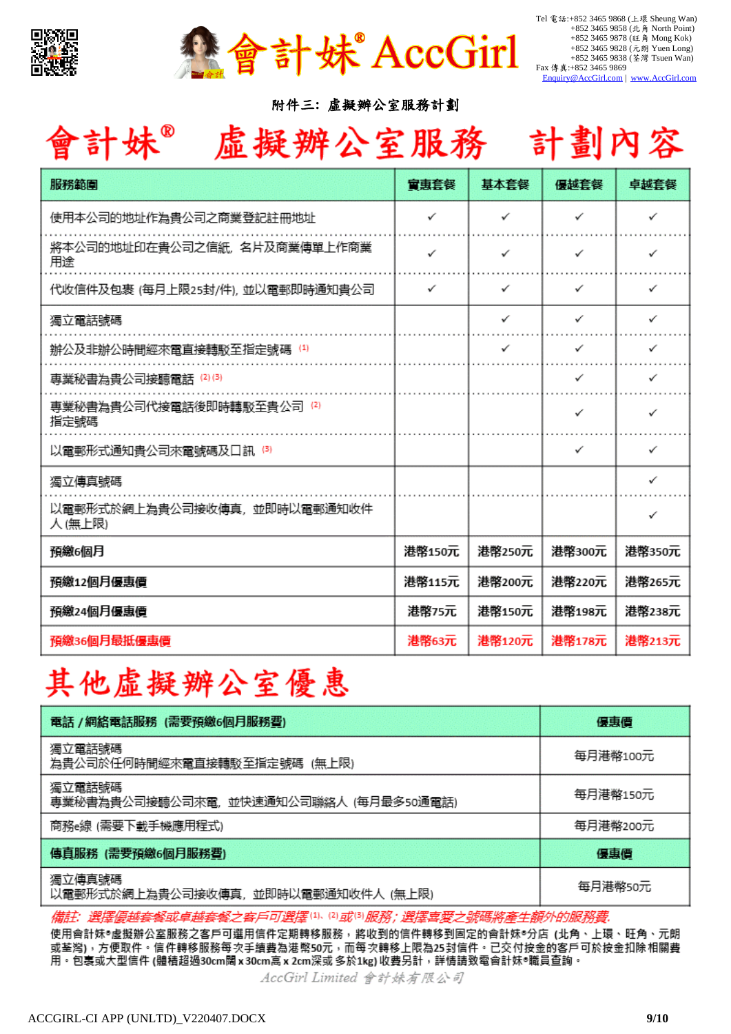

會計妹 AccGirl

Tel 電話:+852 3465 9868 (上環 Sheung Wan) +852 3465 9858 (北角 North Point) +852 3465 9878 (旺角 Mong Kok) +852 3465 9828 (元朗 Yuen Long) +852 3465 9838 (荃灣 Tsuen Wan) Fax 傳真:+852 3465 9869 [Enquiry@AccGirl.com](mailto:Enquiry@AccGirl.com) | [www.AccGirl.com](http://www.accgirl.com/)

附件三**:** 虛擬辦公室服務計劃

# 會計妹® 虚擬辦公室服務 計劃內容

| 服務範圍                                  | 富恵套餐   | 基本套餐         | 優越套餐         | 卓越套餐   |
|---------------------------------------|--------|--------------|--------------|--------|
| 使用本公司的地址作為貴公司之商業登記註冊地址                | ✓      | ✓            | ✓            | ✓      |
| 將本公司的地址印在貴公司之信紙,名片及商業傳單上作商業<br>用途     | ✓      | ✓            | ✓            | ✓      |
| 代收信件及包裹 (每月上限25封/件),並以電郵即時通知貴公司       | ✓      | ✓            | ✓            | ✓      |
| 獨立電話號碼                                |        | $\checkmark$ | ✓            | ✓      |
| 辦公及非辦公時間經來電直接轉駁至指定號碼 ⑷                |        | ✓            | $\checkmark$ | ✓      |
| 專業秘書為貴公司接聽電話 ⑵③                       |        |              | ✓            | ✓      |
| 專業秘書為貴公司代接電話後即時轉駁至貴公司 (2)<br>指定號碼     |        |              | ✓            | ✓      |
| 以電郵形式通知貴公司來電號碼及口訊 ⑶                   |        |              | ✓            | ✓      |
| 獨立傳真號碼                                |        |              |              | ✓      |
| 以電郵形式於網上為貴公司接收傳真,並即時以電郵通知收件<br>人(無上限) |        |              |              | ✓      |
| 預繳6個月                                 | 港幣150元 | 港幣250元       | 港幣300元       | 港幣350元 |
| 預繳12個月優惠價                             | 港幣115元 | 港幣200元       | 港幣220元       | 港幣265元 |
| 預繳24個月優惠價                             | 港幣75元  | 港幣150元       | 港幣198元       | 港幣238元 |
| 預繳36個月最抵優惠價                           | 港幣63元  | 港幣120元       | 港幣178元       | 港幣213元 |

# 其他虛擬辦公室優惠

| 電話 /網絡電話服務 (需要預繳6個月服務費)                         | 優惠價      |
|-------------------------------------------------|----------|
| 獨立電話號碼<br>為貴公司於任何時間經來電直接轉駁至指定號碼 (無上限)           | 每月港幣100元 |
| 獨立電話號碼<br>専業秘書為貴公司接聽公司來電,並快速通知公司聯絡人 (每月最多50通電話) | 每月港幣150元 |
| 商務e線 (需要下載手機應用程式)                               | 每月港幣200元 |
| 傳真服務 (需要預繳6個月服務費)                               | 優惠價      |
| 獨立傳真號碼<br>以電郵形式於網上為貴公司接收傳真,並即時以電郵通知收件人 (無上限)    | 每月港幣50元  |

備註: 選擇優越套餐或卓越套餐之客戶可選擇(1)。(2)或(3)服務 ; 選擇喜愛 生額外的服務費.

使用會計妹®虛擬辦公室服務之客戶可選用信件定期轉移服務,將收到的信件轉移到固定的會計妹®分店 (北角、上環、旺角、元朗 或荃灣),方便取件。信件轉移服務每次手續費為港幣50元,而每次轉移上限為25封信件。已交付按金的客戶可於按金扣除相關費 用。包裹或大型信件 (體積超過30cm闊 x 30cm高 x 2cm深或 多於1kg) 收費另計,詳情請致電會計妹®職員查詢。

AccGirl Limited 會計妹有限公司